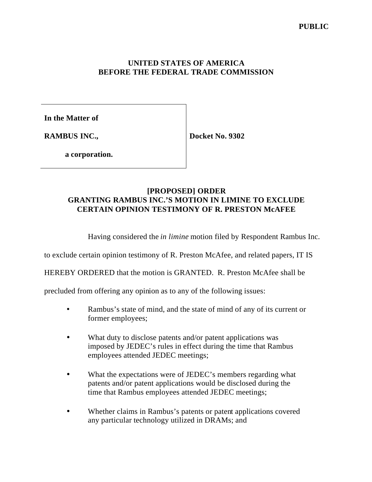## **UNITED STATES OF AMERICA BEFORE THE FEDERAL TRADE COMMISSION**

**In the Matter of**

**RAMBUS INC.,**

**Docket No. 9302**

**a corporation.**

## **[PROPOSED] ORDER GRANTING RAMBUS INC.'S MOTION IN LIMINE TO EXCLUDE CERTAIN OPINION TESTIMONY OF R. PRESTON McAFEE**

Having considered the *in limine* motion filed by Respondent Rambus Inc.

to exclude certain opinion testimony of R. Preston McAfee, and related papers, IT IS

HEREBY ORDERED that the motion is GRANTED. R. Preston McAfee shall be

precluded from offering any opinion as to any of the following issues:

- Rambus's state of mind, and the state of mind of any of its current or former employees;
- What duty to disclose patents and/or patent applications was imposed by JEDEC's rules in effect during the time that Rambus employees attended JEDEC meetings;
- What the expectations were of JEDEC's members regarding what patents and/or patent applications would be disclosed during the time that Rambus employees attended JEDEC meetings;
- Whether claims in Rambus's patents or patent applications covered any particular technology utilized in DRAMs; and